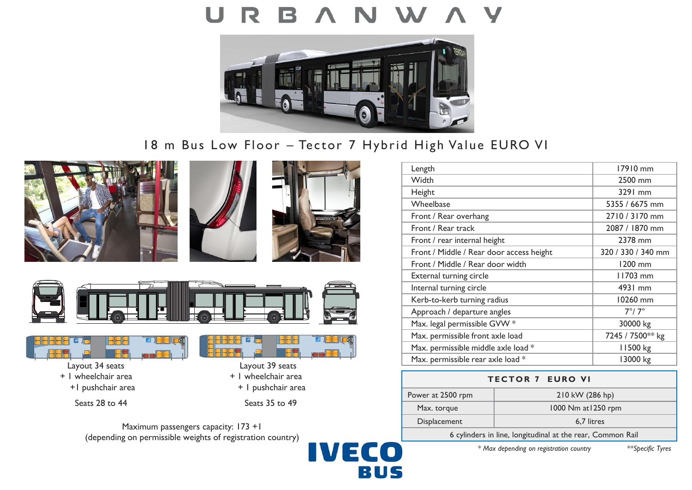# U R



# 18 m Bus Low Floor – Tector 7 Hybrid High Value EURO VI







**3** 





- 
- 



n

Maximum passengers capacity: 173 +1 (depending on permissible weights of registration country)



| 17910 mm           |
|--------------------|
| 2500 mm            |
| 3291 mm            |
| 5355 / 6675 mm     |
| 2710 / 3170 mm     |
| 2087 / 1870 mm     |
| 2378 mm            |
| 320 / 330 / 340 mm |
| 1200 mm            |
| 11703 mm           |
| 4931 mm            |
| 10260 mm           |
| $7^\circ/7^\circ$  |
| 30000 kg           |
| 7245 / 7500** kg   |
| 11500 kg           |
| 13000 kg           |
|                    |

| <b>TECTOR 7 EURO VI</b>                                    |                     |
|------------------------------------------------------------|---------------------|
| Power at 2500 rpm                                          | 210 kW (286 hp)     |
| Max. torque                                                | 1000 Nm at 1250 rpm |
| Displacement                                               | 6,7 litres          |
| 6 cylinders in line, longitudinal at the rear, Common Rail |                     |

*\* Max depending on registration country \*\*Specific Tyres*